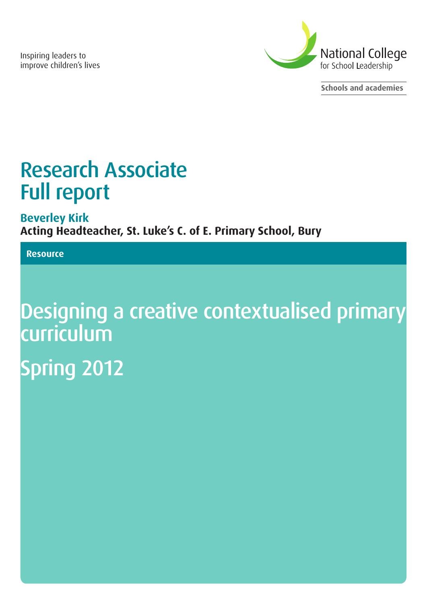Inspiring leaders to improve children's lives



**Schools and academies**

# Research Associate Full report

**Beverley Kirk Acting Headteacher, St. Luke's C. of E. Primary School, Bury**

## **Resource**

# Designing a creative contextualised primary curriculum Spring 2012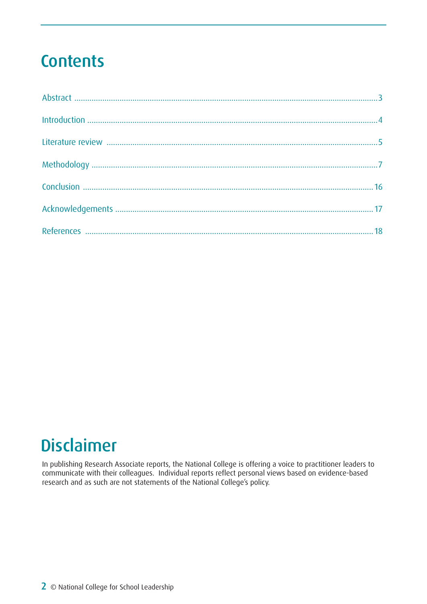## **Contents**

## **Disclaimer**

In publishing Research Associate reports, the National College is offering a voice to practitioner leaders to communicate with their colleagues. Individual reports reflect personal views based on evidence-based research and as such are not statements of the National College's policy.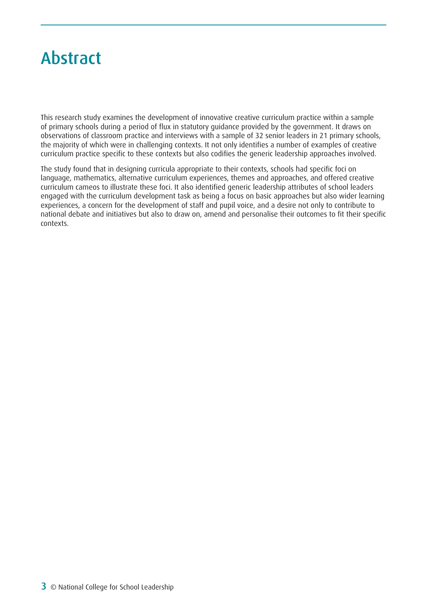## <span id="page-2-0"></span>Abstract

This research study examines the development of innovative creative curriculum practice within a sample of primary schools during a period of flux in statutory guidance provided by the government. It draws on observations of classroom practice and interviews with a sample of 32 senior leaders in 21 primary schools, the majority of which were in challenging contexts. It not only identifies a number of examples of creative curriculum practice specific to these contexts but also codifies the generic leadership approaches involved.

The study found that in designing curricula appropriate to their contexts, schools had specific foci on language, mathematics, alternative curriculum experiences, themes and approaches, and offered creative curriculum cameos to illustrate these foci. It also identified generic leadership attributes of school leaders engaged with the curriculum development task as being a focus on basic approaches but also wider learning experiences, a concern for the development of staff and pupil voice, and a desire not only to contribute to national debate and initiatives but also to draw on, amend and personalise their outcomes to fit their specific contexts.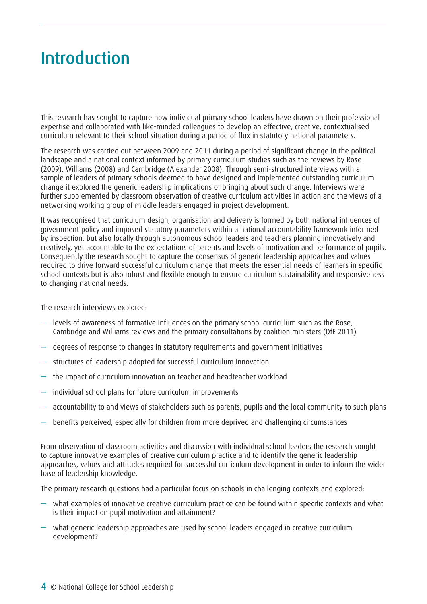## <span id="page-3-0"></span>Introduction

This research has sought to capture how individual primary school leaders have drawn on their professional expertise and collaborated with like-minded colleagues to develop an effective, creative, contextualised curriculum relevant to their school situation during a period of flux in statutory national parameters.

The research was carried out between 2009 and 2011 during a period of significant change in the political landscape and a national context informed by primary curriculum studies such as the reviews by Rose (2009), Williams (2008) and Cambridge (Alexander 2008). Through semi-structured interviews with a sample of leaders of primary schools deemed to have designed and implemented outstanding curriculum change it explored the generic leadership implications of bringing about such change. Interviews were further supplemented by classroom observation of creative curriculum activities in action and the views of a networking working group of middle leaders engaged in project development.

It was recognised that curriculum design, organisation and delivery is formed by both national influences of government policy and imposed statutory parameters within a national accountability framework informed by inspection, but also locally through autonomous school leaders and teachers planning innovatively and creatively, yet accountable to the expectations of parents and levels of motivation and performance of pupils. Consequently the research sought to capture the consensus of generic leadership approaches and values required to drive forward successful curriculum change that meets the essential needs of learners in specific school contexts but is also robust and flexible enough to ensure curriculum sustainability and responsiveness to changing national needs.

The research interviews explored:

- levels of awareness of formative influences on the primary school curriculum such as the Rose, Cambridge and Williams reviews and the primary consultations by coalition ministers (DfE 2011)
- degrees of response to changes in statutory requirements and government initiatives
- structures of leadership adopted for successful curriculum innovation
- the impact of curriculum innovation on teacher and headteacher workload
- individual school plans for future curriculum improvements
- accountability to and views of stakeholders such as parents, pupils and the local community to such plans
- benefits perceived, especially for children from more deprived and challenging circumstances

From observation of classroom activities and discussion with individual school leaders the research sought to capture innovative examples of creative curriculum practice and to identify the generic leadership approaches, values and attitudes required for successful curriculum development in order to inform the wider base of leadership knowledge.

The primary research questions had a particular focus on schools in challenging contexts and explored:

- what examples of innovative creative curriculum practice can be found within specific contexts and what is their impact on pupil motivation and attainment?
- what generic leadership approaches are used by school leaders engaged in creative curriculum development?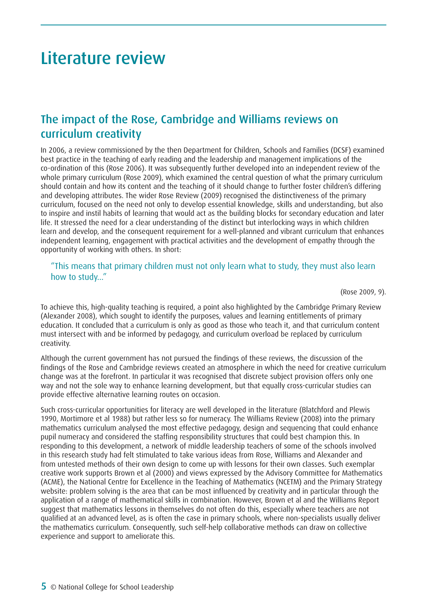## <span id="page-4-0"></span>Literature review

## The impact of the Rose, Cambridge and Williams reviews on curriculum creativity

In 2006, a review commissioned by the then Department for Children, Schools and Families (DCSF) examined best practice in the teaching of early reading and the leadership and management implications of the co-ordination of this (Rose 2006). It was subsequently further developed into an independent review of the whole primary curriculum (Rose 2009), which examined the central question of what the primary curriculum should contain and how its content and the teaching of it should change to further foster children's differing and developing attributes. The wider Rose Review (2009) recognised the distinctiveness of the primary curriculum, focused on the need not only to develop essential knowledge, skills and understanding, but also to inspire and instil habits of learning that would act as the building blocks for secondary education and later life. It stressed the need for a clear understanding of the distinct but interlocking ways in which children learn and develop, and the consequent requirement for a well-planned and vibrant curriculum that enhances independent learning, engagement with practical activities and the development of empathy through the opportunity of working with others. In short:

### "This means that primary children must not only learn what to study, they must also learn how to study…"

(Rose 2009, 9).

To achieve this, high-quality teaching is required, a point also highlighted by the Cambridge Primary Review (Alexander 2008), which sought to identify the purposes, values and learning entitlements of primary education. It concluded that a curriculum is only as good as those who teach it, and that curriculum content must intersect with and be informed by pedagogy, and curriculum overload be replaced by curriculum creativity.

Although the current government has not pursued the findings of these reviews, the discussion of the findings of the Rose and Cambridge reviews created an atmosphere in which the need for creative curriculum change was at the forefront. In particular it was recognised that discrete subject provision offers only one way and not the sole way to enhance learning development, but that equally cross-curricular studies can provide effective alternative learning routes on occasion.

Such cross-curricular opportunities for literacy are well developed in the literature (Blatchford and Plewis 1990, Mortimore et al 1988) but rather less so for numeracy. The Williams Review (2008) into the primary mathematics curriculum analysed the most effective pedagogy, design and sequencing that could enhance pupil numeracy and considered the staffing responsibility structures that could best champion this. In responding to this development, a network of middle leadership teachers of some of the schools involved in this research study had felt stimulated to take various ideas from Rose, Williams and Alexander and from untested methods of their own design to come up with lessons for their own classes. Such exemplar creative work supports Brown et al (2000) and views expressed by the Advisory Committee for Mathematics (ACME), the National Centre for Excellence in the Teaching of Mathematics (NCETM) and the Primary Strategy website: problem solving is the area that can be most influenced by creativity and in particular through the application of a range of mathematical skills in combination. However, Brown et al and the Williams Report suggest that mathematics lessons in themselves do not often do this, especially where teachers are not qualified at an advanced level, as is often the case in primary schools, where non-specialists usually deliver the mathematics curriculum. Consequently, such self-help collaborative methods can draw on collective experience and support to ameliorate this.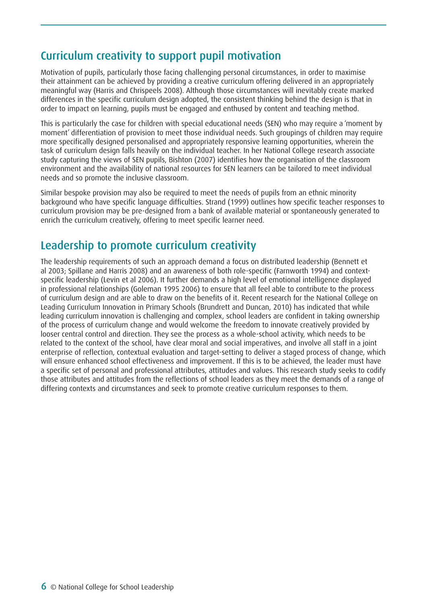## Curriculum creativity to support pupil motivation

Motivation of pupils, particularly those facing challenging personal circumstances, in order to maximise their attainment can be achieved by providing a creative curriculum offering delivered in an appropriately meaningful way (Harris and Chrispeels 2008). Although those circumstances will inevitably create marked differences in the specific curriculum design adopted, the consistent thinking behind the design is that in order to impact on learning, pupils must be engaged and enthused by content and teaching method.

This is particularly the case for children with special educational needs (SEN) who may require a 'moment by moment' differentiation of provision to meet those individual needs. Such groupings of children may require more specifically designed personalised and appropriately responsive learning opportunities, wherein the task of curriculum design falls heavily on the individual teacher. In her National College research associate study capturing the views of SEN pupils, Bishton (2007) identifies how the organisation of the classroom environment and the availability of national resources for SEN learners can be tailored to meet individual needs and so promote the inclusive classroom.

Similar bespoke provision may also be required to meet the needs of pupils from an ethnic minority background who have specific language difficulties. Strand (1999) outlines how specific teacher responses to curriculum provision may be pre-designed from a bank of available material or spontaneously generated to enrich the curriculum creatively, offering to meet specific learner need.

## Leadership to promote curriculum creativity

The leadership requirements of such an approach demand a focus on distributed leadership (Bennett et al 2003; Spillane and Harris 2008) and an awareness of both role-specific (Farnworth 1994) and contextspecific leadership (Levin et al 2006). It further demands a high level of emotional intelligence displayed in professional relationships (Goleman 1995 2006) to ensure that all feel able to contribute to the process of curriculum design and are able to draw on the benefits of it. Recent research for the National College on Leading Curriculum Innovation in Primary Schools (Brundrett and Duncan, 2010) has indicated that while leading curriculum innovation is challenging and complex, school leaders are confident in taking ownership of the process of curriculum change and would welcome the freedom to innovate creatively provided by looser central control and direction. They see the process as a whole-school activity, which needs to be related to the context of the school, have clear moral and social imperatives, and involve all staff in a joint enterprise of reflection, contextual evaluation and target-setting to deliver a staged process of change, which will ensure enhanced school effectiveness and improvement. If this is to be achieved, the leader must have a specific set of personal and professional attributes, attitudes and values. This research study seeks to codify those attributes and attitudes from the reflections of school leaders as they meet the demands of a range of differing contexts and circumstances and seek to promote creative curriculum responses to them.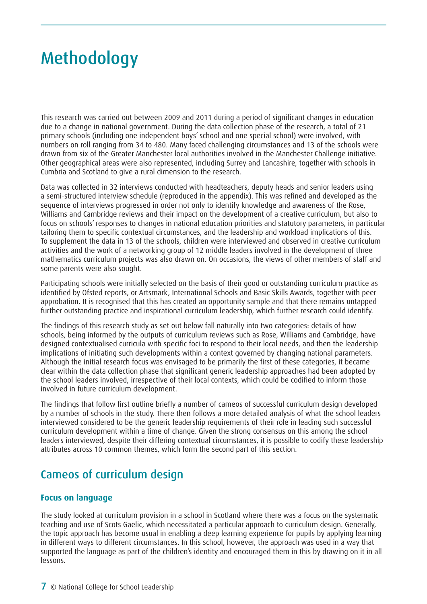## <span id="page-6-0"></span>Methodology

This research was carried out between 2009 and 2011 during a period of significant changes in education due to a change in national government. During the data collection phase of the research, a total of 21 primary schools (including one independent boys' school and one special school) were involved, with numbers on roll ranging from 34 to 480. Many faced challenging circumstances and 13 of the schools were drawn from six of the Greater Manchester local authorities involved in the Manchester Challenge initiative. Other geographical areas were also represented, including Surrey and Lancashire, together with schools in Cumbria and Scotland to give a rural dimension to the research.

Data was collected in 32 interviews conducted with headteachers, deputy heads and senior leaders using a semi-structured interview schedule (reproduced in the appendix). This was refined and developed as the sequence of interviews progressed in order not only to identify knowledge and awareness of the Rose, Williams and Cambridge reviews and their impact on the development of a creative curriculum, but also to focus on schools' responses to changes in national education priorities and statutory parameters, in particular tailoring them to specific contextual circumstances, and the leadership and workload implications of this. To supplement the data in 13 of the schools, children were interviewed and observed in creative curriculum activities and the work of a networking group of 12 middle leaders involved in the development of three mathematics curriculum projects was also drawn on. On occasions, the views of other members of staff and some parents were also sought.

Participating schools were initially selected on the basis of their good or outstanding curriculum practice as identified by Ofsted reports, or Artsmark, International Schools and Basic Skills Awards, together with peer approbation. It is recognised that this has created an opportunity sample and that there remains untapped further outstanding practice and inspirational curriculum leadership, which further research could identify.

The findings of this research study as set out below fall naturally into two categories: details of how schools, being informed by the outputs of curriculum reviews such as Rose, Williams and Cambridge, have designed contextualised curricula with specific foci to respond to their local needs, and then the leadership implications of initiating such developments within a context governed by changing national parameters. Although the initial research focus was envisaged to be primarily the first of these categories, it became clear within the data collection phase that significant generic leadership approaches had been adopted by the school leaders involved, irrespective of their local contexts, which could be codified to inform those involved in future curriculum development.

The findings that follow first outline briefly a number of cameos of successful curriculum design developed by a number of schools in the study. There then follows a more detailed analysis of what the school leaders interviewed considered to be the generic leadership requirements of their role in leading such successful curriculum development within a time of change. Given the strong consensus on this among the school leaders interviewed, despite their differing contextual circumstances, it is possible to codify these leadership attributes across 10 common themes, which form the second part of this section.

## Cameos of curriculum design

## **Focus on language**

The study looked at curriculum provision in a school in Scotland where there was a focus on the systematic teaching and use of Scots Gaelic, which necessitated a particular approach to curriculum design. Generally, the topic approach has become usual in enabling a deep learning experience for pupils by applying learning in different ways to different circumstances. In this school, however, the approach was used in a way that supported the language as part of the children's identity and encouraged them in this by drawing on it in all lessons.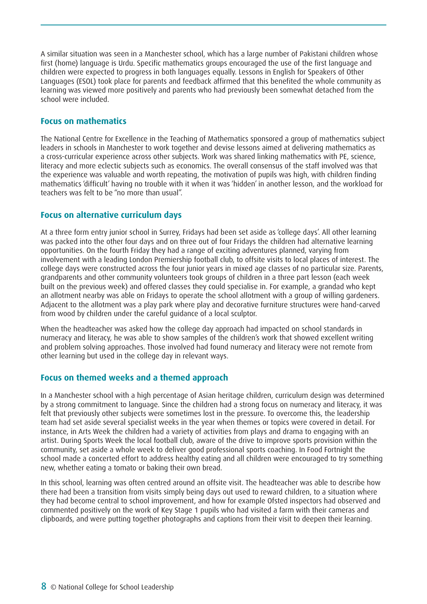A similar situation was seen in a Manchester school, which has a large number of Pakistani children whose first (home) language is Urdu. Specific mathematics groups encouraged the use of the first language and children were expected to progress in both languages equally. Lessons in English for Speakers of Other Languages (ESOL) took place for parents and feedback affirmed that this benefited the whole community as learning was viewed more positively and parents who had previously been somewhat detached from the school were included.

### **Focus on mathematics**

The National Centre for Excellence in the Teaching of Mathematics sponsored a group of mathematics subject leaders in schools in Manchester to work together and devise lessons aimed at delivering mathematics as a cross-curricular experience across other subjects. Work was shared linking mathematics with PE, science, literacy and more eclectic subjects such as economics. The overall consensus of the staff involved was that the experience was valuable and worth repeating, the motivation of pupils was high, with children finding mathematics 'difficult' having no trouble with it when it was 'hidden' in another lesson, and the workload for teachers was felt to be "no more than usual".

### **Focus on alternative curriculum days**

At a three form entry junior school in Surrey, Fridays had been set aside as 'college days'. All other learning was packed into the other four days and on three out of four Fridays the children had alternative learning opportunities. On the fourth Friday they had a range of exciting adventures planned, varying from involvement with a leading London Premiership football club, to offsite visits to local places of interest. The college days were constructed across the four junior years in mixed age classes of no particular size. Parents, grandparents and other community volunteers took groups of children in a three part lesson (each week built on the previous week) and offered classes they could specialise in. For example, a grandad who kept an allotment nearby was able on Fridays to operate the school allotment with a group of willing gardeners. Adjacent to the allotment was a play park where play and decorative furniture structures were hand-carved from wood by children under the careful guidance of a local sculptor.

When the headteacher was asked how the college day approach had impacted on school standards in numeracy and literacy, he was able to show samples of the children's work that showed excellent writing and problem solving approaches. Those involved had found numeracy and literacy were not remote from other learning but used in the college day in relevant ways.

## **Focus on themed weeks and a themed approach**

In a Manchester school with a high percentage of Asian heritage children, curriculum design was determined by a strong commitment to language. Since the children had a strong focus on numeracy and literacy, it was felt that previously other subjects were sometimes lost in the pressure. To overcome this, the leadership team had set aside several specialist weeks in the year when themes or topics were covered in detail. For instance, in Arts Week the children had a variety of activities from plays and drama to engaging with an artist. During Sports Week the local football club, aware of the drive to improve sports provision within the community, set aside a whole week to deliver good professional sports coaching. In Food Fortnight the school made a concerted effort to address healthy eating and all children were encouraged to try something new, whether eating a tomato or baking their own bread.

In this school, learning was often centred around an offsite visit. The headteacher was able to describe how there had been a transition from visits simply being days out used to reward children, to a situation where they had become central to school improvement, and how for example Ofsted inspectors had observed and commented positively on the work of Key Stage 1 pupils who had visited a farm with their cameras and clipboards, and were putting together photographs and captions from their visit to deepen their learning.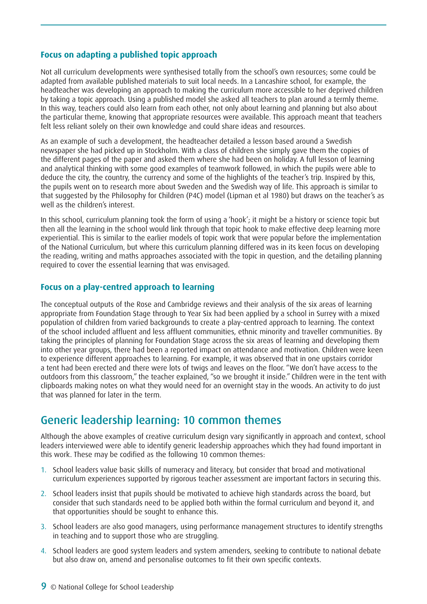#### **Focus on adapting a published topic approach**

Not all curriculum developments were synthesised totally from the school's own resources; some could be adapted from available published materials to suit local needs. In a Lancashire school, for example, the headteacher was developing an approach to making the curriculum more accessible to her deprived children by taking a topic approach. Using a published model she asked all teachers to plan around a termly theme. In this way, teachers could also learn from each other, not only about learning and planning but also about the particular theme, knowing that appropriate resources were available. This approach meant that teachers felt less reliant solely on their own knowledge and could share ideas and resources.

As an example of such a development, the headteacher detailed a lesson based around a Swedish newspaper she had picked up in Stockholm. With a class of children she simply gave them the copies of the different pages of the paper and asked them where she had been on holiday. A full lesson of learning and analytical thinking with some good examples of teamwork followed, in which the pupils were able to deduce the city, the country, the currency and some of the highlights of the teacher's trip. Inspired by this, the pupils went on to research more about Sweden and the Swedish way of life. This approach is similar to that suggested by the Philosophy for Children (P4C) model (Lipman et al 1980) but draws on the teacher's as well as the children's interest.

In this school, curriculum planning took the form of using a 'hook'; it might be a history or science topic but then all the learning in the school would link through that topic hook to make effective deep learning more experiential. This is similar to the earlier models of topic work that were popular before the implementation of the National Curriculum, but where this curriculum planning differed was in its keen focus on developing the reading, writing and maths approaches associated with the topic in question, and the detailing planning required to cover the essential learning that was envisaged.

### **Focus on a play-centred approach to learning**

The conceptual outputs of the Rose and Cambridge reviews and their analysis of the six areas of learning appropriate from Foundation Stage through to Year Six had been applied by a school in Surrey with a mixed population of children from varied backgrounds to create a play-centred approach to learning. The context of the school included affluent and less affluent communities, ethnic minority and traveller communities. By taking the principles of planning for Foundation Stage across the six areas of learning and developing them into other year groups, there had been a reported impact on attendance and motivation. Children were keen to experience different approaches to learning. For example, it was observed that in one upstairs corridor a tent had been erected and there were lots of twigs and leaves on the floor. "We don't have access to the outdoors from this classroom," the teacher explained, "so we brought it inside." Children were in the tent with clipboards making notes on what they would need for an overnight stay in the woods. An activity to do just that was planned for later in the term.

## Generic leadership learning: 10 common themes

Although the above examples of creative curriculum design vary significantly in approach and context, school leaders interviewed were able to identify generic leadership approaches which they had found important in this work. These may be codified as the following 10 common themes:

- 1. School leaders value basic skills of numeracy and literacy, but consider that broad and motivational curriculum experiences supported by rigorous teacher assessment are important factors in securing this.
- 2. School leaders insist that pupils should be motivated to achieve high standards across the board, but consider that such standards need to be applied both within the formal curriculum and beyond it, and that opportunities should be sought to enhance this.
- 3. School leaders are also good managers, using performance management structures to identify strengths in teaching and to support those who are struggling.
- 4. School leaders are good system leaders and system amenders, seeking to contribute to national debate but also draw on, amend and personalise outcomes to fit their own specific contexts.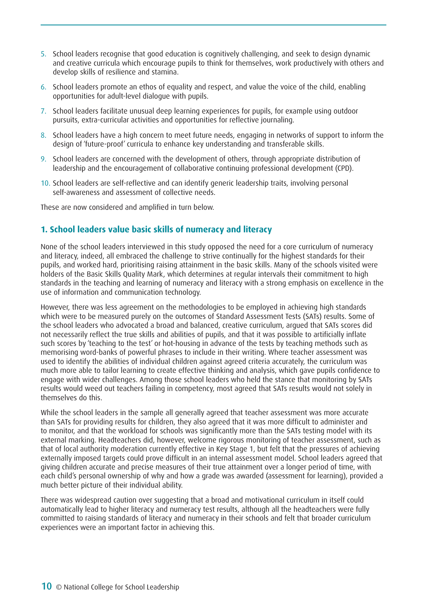- 5. School leaders recognise that good education is cognitively challenging, and seek to design dynamic and creative curricula which encourage pupils to think for themselves, work productively with others and develop skills of resilience and stamina.
- 6. School leaders promote an ethos of equality and respect, and value the voice of the child, enabling opportunities for adult-level dialogue with pupils.
- 7. School leaders facilitate unusual deep learning experiences for pupils, for example using outdoor pursuits, extra-curricular activities and opportunities for reflective journaling.
- 8. School leaders have a high concern to meet future needs, engaging in networks of support to inform the design of 'future-proof' curricula to enhance key understanding and transferable skills.
- 9. School leaders are concerned with the development of others, through appropriate distribution of leadership and the encouragement of collaborative continuing professional development (CPD).
- 10. School leaders are self-reflective and can identify generic leadership traits, involving personal self-awareness and assessment of collective needs.

These are now considered and amplified in turn below.

### **1. School leaders value basic skills of numeracy and literacy**

None of the school leaders interviewed in this study opposed the need for a core curriculum of numeracy and literacy, indeed, all embraced the challenge to strive continually for the highest standards for their pupils, and worked hard, prioritising raising attainment in the basic skills. Many of the schools visited were holders of the Basic Skills Quality Mark, which determines at regular intervals their commitment to high standards in the teaching and learning of numeracy and literacy with a strong emphasis on excellence in the use of information and communication technology.

However, there was less agreement on the methodologies to be employed in achieving high standards which were to be measured purely on the outcomes of Standard Assessment Tests (SATs) results. Some of the school leaders who advocated a broad and balanced, creative curriculum, argued that SATs scores did not necessarily reflect the true skills and abilities of pupils, and that it was possible to artificially inflate such scores by 'teaching to the test' or hot-housing in advance of the tests by teaching methods such as memorising word-banks of powerful phrases to include in their writing. Where teacher assessment was used to identify the abilities of individual children against agreed criteria accurately, the curriculum was much more able to tailor learning to create effective thinking and analysis, which gave pupils confidence to engage with wider challenges. Among those school leaders who held the stance that monitoring by SATs results would weed out teachers failing in competency, most agreed that SATs results would not solely in themselves do this.

While the school leaders in the sample all generally agreed that teacher assessment was more accurate than SATs for providing results for children, they also agreed that it was more difficult to administer and to monitor, and that the workload for schools was significantly more than the SATs testing model with its external marking. Headteachers did, however, welcome rigorous monitoring of teacher assessment, such as that of local authority moderation currently effective in Key Stage 1, but felt that the pressures of achieving externally imposed targets could prove difficult in an internal assessment model. School leaders agreed that giving children accurate and precise measures of their true attainment over a longer period of time, with each child's personal ownership of why and how a grade was awarded (assessment for learning), provided a much better picture of their individual ability.

There was widespread caution over suggesting that a broad and motivational curriculum in itself could automatically lead to higher literacy and numeracy test results, although all the headteachers were fully committed to raising standards of literacy and numeracy in their schools and felt that broader curriculum experiences were an important factor in achieving this.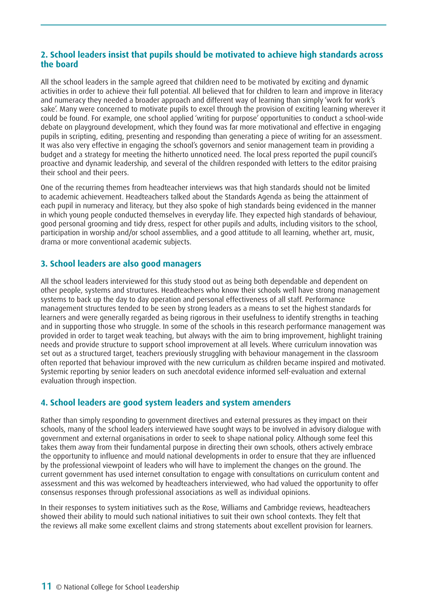### **2. School leaders insist that pupils should be motivated to achieve high standards across the board**

All the school leaders in the sample agreed that children need to be motivated by exciting and dynamic activities in order to achieve their full potential. All believed that for children to learn and improve in literacy and numeracy they needed a broader approach and different way of learning than simply 'work for work's sake'. Many were concerned to motivate pupils to excel through the provision of exciting learning wherever it could be found. For example, one school applied 'writing for purpose' opportunities to conduct a school-wide debate on playground development, which they found was far more motivational and effective in engaging pupils in scripting, editing, presenting and responding than generating a piece of writing for an assessment. It was also very effective in engaging the school's governors and senior management team in providing a budget and a strategy for meeting the hitherto unnoticed need. The local press reported the pupil council's proactive and dynamic leadership, and several of the children responded with letters to the editor praising their school and their peers.

One of the recurring themes from headteacher interviews was that high standards should not be limited to academic achievement. Headteachers talked about the Standards Agenda as being the attainment of each pupil in numeracy and literacy, but they also spoke of high standards being evidenced in the manner in which young people conducted themselves in everyday life. They expected high standards of behaviour, good personal grooming and tidy dress, respect for other pupils and adults, including visitors to the school, participation in worship and/or school assemblies, and a good attitude to all learning, whether art, music, drama or more conventional academic subjects.

## **3. School leaders are also good managers**

All the school leaders interviewed for this study stood out as being both dependable and dependent on other people, systems and structures. Headteachers who know their schools well have strong management systems to back up the day to day operation and personal effectiveness of all staff. Performance management structures tended to be seen by strong leaders as a means to set the highest standards for learners and were generally regarded as being rigorous in their usefulness to identify strengths in teaching and in supporting those who struggle. In some of the schools in this research performance management was provided in order to target weak teaching, but always with the aim to bring improvement, highlight training needs and provide structure to support school improvement at all levels. Where curriculum innovation was set out as a structured target, teachers previously struggling with behaviour management in the classroom often reported that behaviour improved with the new curriculum as children became inspired and motivated. Systemic reporting by senior leaders on such anecdotal evidence informed self-evaluation and external evaluation through inspection.

## **4. School leaders are good system leaders and system amenders**

Rather than simply responding to government directives and external pressures as they impact on their schools, many of the school leaders interviewed have sought ways to be involved in advisory dialogue with government and external organisations in order to seek to shape national policy. Although some feel this takes them away from their fundamental purpose in directing their own schools, others actively embrace the opportunity to influence and mould national developments in order to ensure that they are influenced by the professional viewpoint of leaders who will have to implement the changes on the ground. The current government has used internet consultation to engage with consultations on curriculum content and assessment and this was welcomed by headteachers interviewed, who had valued the opportunity to offer consensus responses through professional associations as well as individual opinions.

In their responses to system initiatives such as the Rose, Williams and Cambridge reviews, headteachers showed their ability to mould such national initiatives to suit their own school contexts. They felt that the reviews all make some excellent claims and strong statements about excellent provision for learners.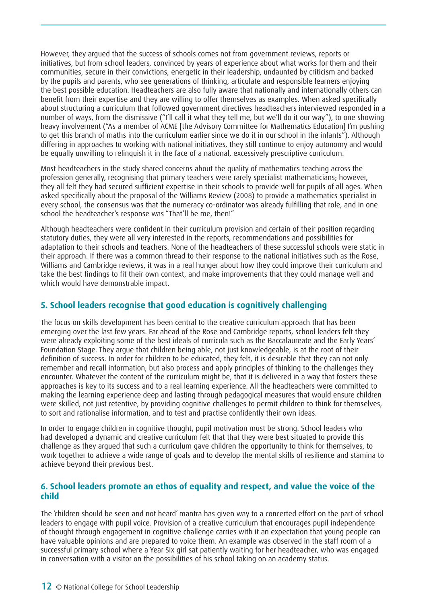However, they argued that the success of schools comes not from government reviews, reports or initiatives, but from school leaders, convinced by years of experience about what works for them and their communities, secure in their convictions, energetic in their leadership, undaunted by criticism and backed by the pupils and parents, who see generations of thinking, articulate and responsible learners enjoying the best possible education. Headteachers are also fully aware that nationally and internationally others can benefit from their expertise and they are willing to offer themselves as examples. When asked specifically about structuring a curriculum that followed government directives headteachers interviewed responded in a number of ways, from the dismissive ("I'll call it what they tell me, but we'll do it our way"), to one showing heavy involvement ("As a member of ACME [the Advisory Committee for Mathematics Education] I'm pushing to get this branch of maths into the curriculum earlier since we do it in our school in the infants"). Although differing in approaches to working with national initiatives, they still continue to enjoy autonomy and would be equally unwilling to relinquish it in the face of a national, excessively prescriptive curriculum.

Most headteachers in the study shared concerns about the quality of mathematics teaching across the profession generally, recognising that primary teachers were rarely specialist mathematicians; however, they all felt they had secured sufficient expertise in their schools to provide well for pupils of all ages. When asked specifically about the proposal of the Williams Review (2008) to provide a mathematics specialist in every school, the consensus was that the numeracy co-ordinator was already fulfilling that role, and in one school the headteacher's response was "That'll be me, then!"

Although headteachers were confident in their curriculum provision and certain of their position regarding statutory duties, they were all very interested in the reports, recommendations and possibilities for adaptation to their schools and teachers. None of the headteachers of these successful schools were static in their approach. If there was a common thread to their response to the national initiatives such as the Rose, Williams and Cambridge reviews, it was in a real hunger about how they could improve their curriculum and take the best findings to fit their own context, and make improvements that they could manage well and which would have demonstrable impact.

## **5. School leaders recognise that good education is cognitively challenging**

The focus on skills development has been central to the creative curriculum approach that has been emerging over the last few years. Far ahead of the Rose and Cambridge reports, school leaders felt they were already exploiting some of the best ideals of curricula such as the Baccalaureate and the Early Years' Foundation Stage. They argue that children being able, not just knowledgeable, is at the root of their definition of success. In order for children to be educated, they felt, it is desirable that they can not only remember and recall information, but also process and apply principles of thinking to the challenges they encounter. Whatever the content of the curriculum might be, that it is delivered in a way that fosters these approaches is key to its success and to a real learning experience. All the headteachers were committed to making the learning experience deep and lasting through pedagogical measures that would ensure children were skilled, not just retentive, by providing cognitive challenges to permit children to think for themselves, to sort and rationalise information, and to test and practise confidently their own ideas.

In order to engage children in cognitive thought, pupil motivation must be strong. School leaders who had developed a dynamic and creative curriculum felt that that they were best situated to provide this challenge as they argued that such a curriculum gave children the opportunity to think for themselves, to work together to achieve a wide range of goals and to develop the mental skills of resilience and stamina to achieve beyond their previous best.

### **6. School leaders promote an ethos of equality and respect, and value the voice of the child**

The 'children should be seen and not heard' mantra has given way to a concerted effort on the part of school leaders to engage with pupil voice. Provision of a creative curriculum that encourages pupil independence of thought through engagement in cognitive challenge carries with it an expectation that young people can have valuable opinions and are prepared to voice them. An example was observed in the staff room of a successful primary school where a Year Six girl sat patiently waiting for her headteacher, who was engaged in conversation with a visitor on the possibilities of his school taking on an academy status.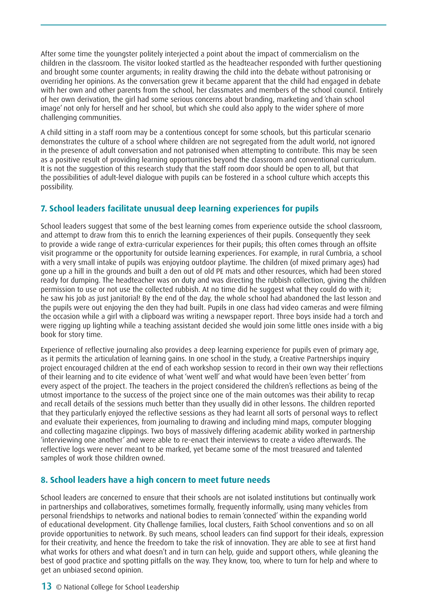After some time the youngster politely interjected a point about the impact of commercialism on the children in the classroom. The visitor looked startled as the headteacher responded with further questioning and brought some counter arguments; in reality drawing the child into the debate without patronising or overriding her opinions. As the conversation grew it became apparent that the child had engaged in debate with her own and other parents from the school, her classmates and members of the school council. Entirely of her own derivation, the girl had some serious concerns about branding, marketing and 'chain school image' not only for herself and her school, but which she could also apply to the wider sphere of more challenging communities.

A child sitting in a staff room may be a contentious concept for some schools, but this particular scenario demonstrates the culture of a school where children are not segregated from the adult world, not ignored in the presence of adult conversation and not patronised when attempting to contribute. This may be seen as a positive result of providing learning opportunities beyond the classroom and conventional curriculum. It is not the suggestion of this research study that the staff room door should be open to all, but that the possibilities of adult-level dialogue with pupils can be fostered in a school culture which accepts this possibility.

## **7. School leaders facilitate unusual deep learning experiences for pupils**

School leaders suggest that some of the best learning comes from experience outside the school classroom, and attempt to draw from this to enrich the learning experiences of their pupils. Consequently they seek to provide a wide range of extra-curricular experiences for their pupils; this often comes through an offsite visit programme or the opportunity for outside learning experiences. For example, in rural Cumbria, a school with a very small intake of pupils was enjoying outdoor playtime. The children (of mixed primary ages) had gone up a hill in the grounds and built a den out of old PE mats and other resources, which had been stored ready for dumping. The headteacher was on duty and was directing the rubbish collection, giving the children permission to use or not use the collected rubbish. At no time did he suggest what they could do with it; he saw his job as just janitorial! By the end of the day, the whole school had abandoned the last lesson and the pupils were out enjoying the den they had built. Pupils in one class had video cameras and were filming the occasion while a girl with a clipboard was writing a newspaper report. Three boys inside had a torch and were rigging up lighting while a teaching assistant decided she would join some little ones inside with a big book for story time.

Experience of reflective journaling also provides a deep learning experience for pupils even of primary age, as it permits the articulation of learning gains. In one school in the study, a Creative Partnerships inquiry project encouraged children at the end of each workshop session to record in their own way their reflections of their learning and to cite evidence of what 'went well' and what would have been 'even better' from every aspect of the project. The teachers in the project considered the children's reflections as being of the utmost importance to the success of the project since one of the main outcomes was their ability to recap and recall details of the sessions much better than they usually did in other lessons. The children reported that they particularly enjoyed the reflective sessions as they had learnt all sorts of personal ways to reflect and evaluate their experiences, from journaling to drawing and including mind maps, computer blogging and collecting magazine clippings. Two boys of massively differing academic ability worked in partnership 'interviewing one another' and were able to re-enact their interviews to create a video afterwards. The reflective logs were never meant to be marked, yet became some of the most treasured and talented samples of work those children owned.

## **8. School leaders have a high concern to meet future needs**

School leaders are concerned to ensure that their schools are not isolated institutions but continually work in partnerships and collaboratives, sometimes formally, frequently informally, using many vehicles from personal friendships to networks and national bodies to remain 'connected' within the expanding world of educational development. City Challenge families, local clusters, Faith School conventions and so on all provide opportunities to network. By such means, school leaders can find support for their ideals, expression for their creativity, and hence the freedom to take the risk of innovation. They are able to see at first hand what works for others and what doesn't and in turn can help, guide and support others, while gleaning the best of good practice and spotting pitfalls on the way. They know, too, where to turn for help and where to get an unbiased second opinion.

#### 13 © National College for School Leadership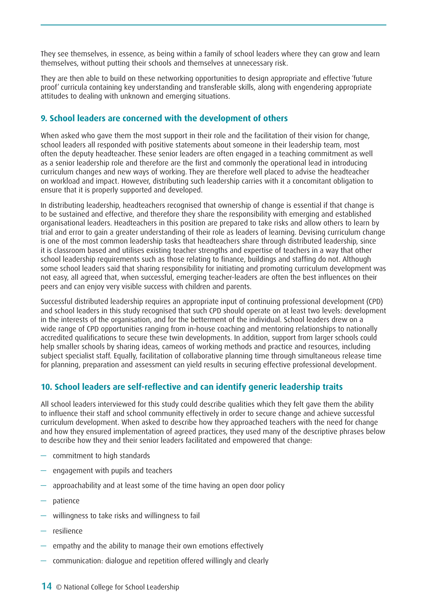They see themselves, in essence, as being within a family of school leaders where they can grow and learn themselves, without putting their schools and themselves at unnecessary risk.

They are then able to build on these networking opportunities to design appropriate and effective 'future proof' curricula containing key understanding and transferable skills, along with engendering appropriate attitudes to dealing with unknown and emerging situations.

### **9. School leaders are concerned with the development of others**

When asked who gave them the most support in their role and the facilitation of their vision for change, school leaders all responded with positive statements about someone in their leadership team, most often the deputy headteacher. These senior leaders are often engaged in a teaching commitment as well as a senior leadership role and therefore are the first and commonly the operational lead in introducing curriculum changes and new ways of working. They are therefore well placed to advise the headteacher on workload and impact. However, distributing such leadership carries with it a concomitant obligation to ensure that it is properly supported and developed.

In distributing leadership, headteachers recognised that ownership of change is essential if that change is to be sustained and effective, and therefore they share the responsibility with emerging and established organisational leaders. Headteachers in this position are prepared to take risks and allow others to learn by trial and error to gain a greater understanding of their role as leaders of learning. Devising curriculum change is one of the most common leadership tasks that headteachers share through distributed leadership, since it is classroom based and utilises existing teacher strengths and expertise of teachers in a way that other school leadership requirements such as those relating to finance, buildings and staffing do not. Although some school leaders said that sharing responsibility for initiating and promoting curriculum development was not easy, all agreed that, when successful, emerging teacher-leaders are often the best influences on their peers and can enjoy very visible success with children and parents.

Successful distributed leadership requires an appropriate input of continuing professional development (CPD) and school leaders in this study recognised that such CPD should operate on at least two levels: development in the interests of the organisation, and for the betterment of the individual. School leaders drew on a wide range of CPD opportunities ranging from in-house coaching and mentoring relationships to nationally accredited qualifications to secure these twin developments. In addition, support from larger schools could help smaller schools by sharing ideas, cameos of working methods and practice and resources, including subject specialist staff. Equally, facilitation of collaborative planning time through simultaneous release time for planning, preparation and assessment can yield results in securing effective professional development.

## **10. School leaders are self-reflective and can identify generic leadership traits**

All school leaders interviewed for this study could describe qualities which they felt gave them the ability to influence their staff and school community effectively in order to secure change and achieve successful curriculum development. When asked to describe how they approached teachers with the need for change and how they ensured implementation of agreed practices, they used many of the descriptive phrases below to describe how they and their senior leaders facilitated and empowered that change:

- commitment to high standards
- engagement with pupils and teachers
- approachability and at least some of the time having an open door policy
- patience
- willingness to take risks and willingness to fail
- resilience
- empathy and the ability to manage their own emotions effectively
- communication: dialogue and repetition offered willingly and clearly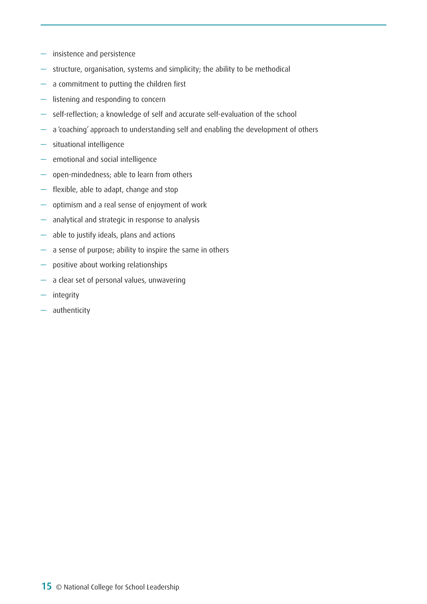- insistence and persistence
- structure, organisation, systems and simplicity; the ability to be methodical
- a commitment to putting the children first
- listening and responding to concern
- self-reflection; a knowledge of self and accurate self-evaluation of the school
- a 'coaching' approach to understanding self and enabling the development of others
- situational intelligence
- emotional and social intelligence
- open-mindedness; able to learn from others
- flexible, able to adapt, change and stop
- optimism and a real sense of enjoyment of work
- analytical and strategic in response to analysis
- able to justify ideals, plans and actions
- a sense of purpose; ability to inspire the same in others
- positive about working relationships
- a clear set of personal values, unwavering
- integrity
- authenticity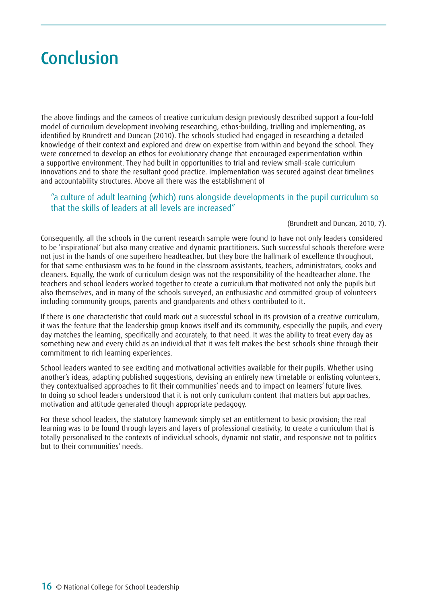## <span id="page-15-0"></span>Conclusion

The above findings and the cameos of creative curriculum design previously described support a four-fold model of curriculum development involving researching, ethos-building, trialling and implementing, as identified by Brundrett and Duncan (2010). The schools studied had engaged in researching a detailed knowledge of their context and explored and drew on expertise from within and beyond the school. They were concerned to develop an ethos for evolutionary change that encouraged experimentation within a supportive environment. They had built in opportunities to trial and review small-scale curriculum innovations and to share the resultant good practice. Implementation was secured against clear timelines and accountability structures. Above all there was the establishment of

### "a culture of adult learning (which) runs alongside developments in the pupil curriculum so that the skills of leaders at all levels are increased"

#### (Brundrett and Duncan, 2010, 7).

Consequently, all the schools in the current research sample were found to have not only leaders considered to be 'inspirational' but also many creative and dynamic practitioners. Such successful schools therefore were not just in the hands of one superhero headteacher, but they bore the hallmark of excellence throughout, for that same enthusiasm was to be found in the classroom assistants, teachers, administrators, cooks and cleaners. Equally, the work of curriculum design was not the responsibility of the headteacher alone. The teachers and school leaders worked together to create a curriculum that motivated not only the pupils but also themselves, and in many of the schools surveyed, an enthusiastic and committed group of volunteers including community groups, parents and grandparents and others contributed to it.

If there is one characteristic that could mark out a successful school in its provision of a creative curriculum, it was the feature that the leadership group knows itself and its community, especially the pupils, and every day matches the learning, specifically and accurately, to that need. It was the ability to treat every day as something new and every child as an individual that it was felt makes the best schools shine through their commitment to rich learning experiences.

School leaders wanted to see exciting and motivational activities available for their pupils. Whether using another's ideas, adapting published suggestions, devising an entirely new timetable or enlisting volunteers, they contextualised approaches to fit their communities' needs and to impact on learners' future lives. In doing so school leaders understood that it is not only curriculum content that matters but approaches, motivation and attitude generated though appropriate pedagogy.

For these school leaders, the statutory framework simply set an entitlement to basic provision; the real learning was to be found through layers and layers of professional creativity, to create a curriculum that is totally personalised to the contexts of individual schools, dynamic not static, and responsive not to politics but to their communities' needs.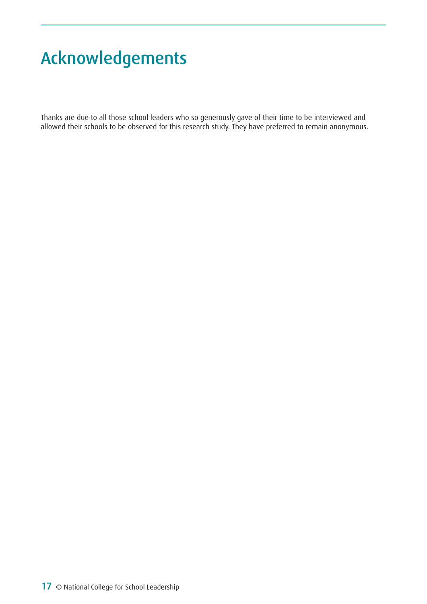## <span id="page-16-0"></span>Acknowledgements

Thanks are due to all those school leaders who so generously gave of their time to be interviewed and allowed their schools to be observed for this research study. They have preferred to remain anonymous.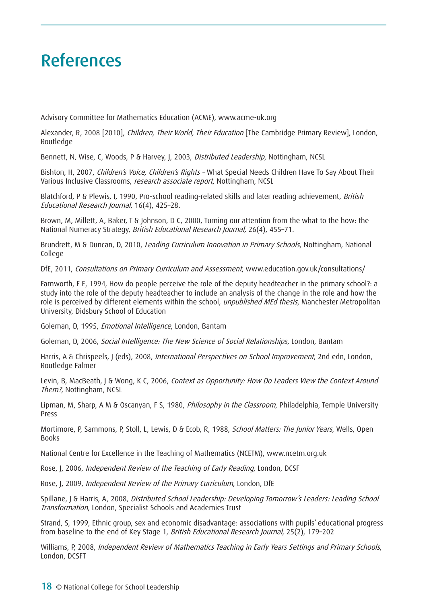## <span id="page-17-0"></span>References

Advisory Committee for Mathematics Education (ACME), www.acme-uk.org

Alexander, R, 2008 [2010], *Children, Their World, Their Education* [The Cambridge Primary Review], London, Routledge

Bennett, N, Wise, C, Woods, P & Harvey, J, 2003, *Distributed Leadership*, Nottingham, NCSL

Bishton, H, 2007, Children's Voice, Children's Rights - What Special Needs Children Have To Say About Their Various Inclusive Classrooms, research associate report, Nottingham, NCSL

Blatchford, P & Plewis, I, 1990, Pro-school reading-related skills and later reading achievement, British Educational Research Journal, 16(4), 425–28.

Brown, M, Millett, A, Baker, T & Johnson, D C, 2000, Turning our attention from the what to the how: the National Numeracy Strategy, British Educational Research Journal, 26(4), 455–71.

Brundrett, M & Duncan, D, 2010, Leading Curriculum Innovation in Primary Schools, Nottingham, National College

DfE, 2011, Consultations on Primary Curriculum and Assessment, www.education.gov.uk/consultations/

Farnworth, F E, 1994, How do people perceive the role of the deputy headteacher in the primary school?: a study into the role of the deputy headteacher to include an analysis of the change in the role and how the role is perceived by different elements within the school, *unpublished MEd thesis*, Manchester Metropolitan University, Didsbury School of Education

Goleman, D, 1995, Emotional Intelligence, London, Bantam

Goleman, D, 2006, Social Intelligence: The New Science of Social Relationships, London, Bantam

Harris, A & Chrispeels, J (eds), 2008, International Perspectives on School Improvement, 2nd edn, London, Routledge Falmer

Levin, B, MacBeath, J & Wong, K C, 2006, Context as Opportunity: How Do Leaders View the Context Around Them?, Nottingham, NCSL

Lipman, M, Sharp, A M & Oscanyan, F S, 1980, *Philosophy in the Classroom*, Philadelphia, Temple University Press

Mortimore, P, Sammons, P, Stoll, L, Lewis, D & Ecob, R, 1988, School Matters: The Junior Years, Wells, Open Books

National Centre for Excellence in the Teaching of Mathematics (NCETM), www.ncetm.org.uk

Rose, J, 2006, Independent Review of the Teaching of Early Reading, London, DCSF

Rose, J, 2009, Independent Review of the Primary Curriculum, London, DfE

Spillane, J & Harris, A, 2008, Distributed School Leadership: Developing Tomorrow's Leaders: Leading School Transformation, London, Specialist Schools and Academies Trust

Strand, S, 1999, Ethnic group, sex and economic disadvantage: associations with pupils' educational progress from baseline to the end of Key Stage 1, British Educational Research Journal, 25(2), 179–202

Williams, P, 2008, Independent Review of Mathematics Teaching in Early Years Settings and Primary Schools, London, DCSFT